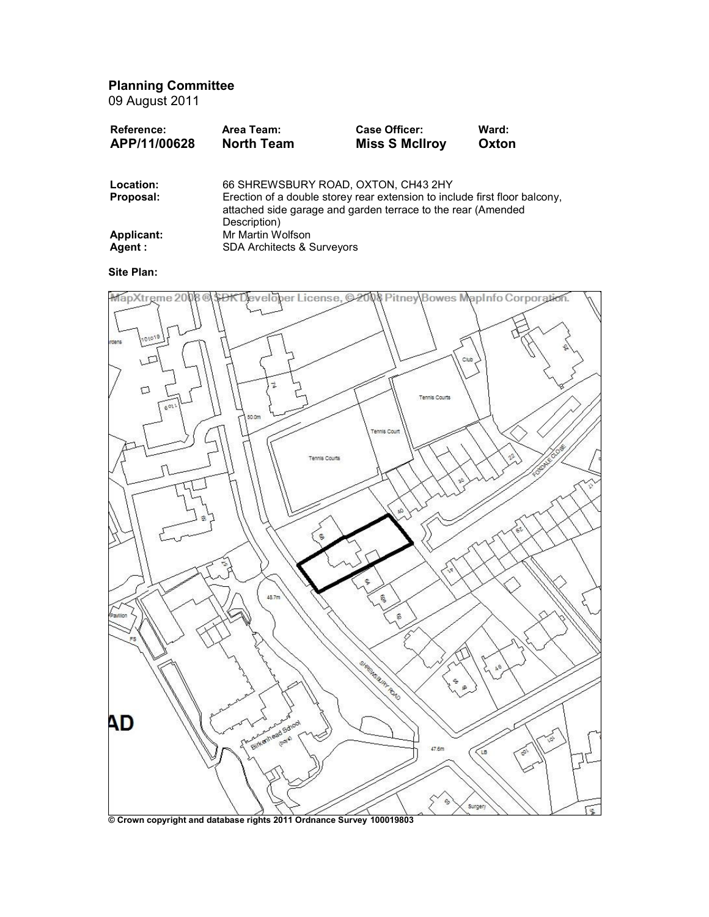Planning Committee

09 August 2011

| <b>Reference:</b> | Area Team:        | <b>Case Officer:</b>  | Ward: |
|-------------------|-------------------|-----------------------|-------|
| APP/11/00628      | <b>North Team</b> | <b>Miss S McIlroy</b> | Oxton |
|                   |                   |                       |       |

| Location:  | 66 SHREWSBURY ROAD, OXTON, CH43 2HY                                                                                                                        |
|------------|------------------------------------------------------------------------------------------------------------------------------------------------------------|
| Proposal:  | Erection of a double storey rear extension to include first floor balcony,<br>attached side garage and garden terrace to the rear (Amended<br>Description) |
| Applicant: | Mr Martin Wolfson                                                                                                                                          |
| Agent :    | <b>SDA Architects &amp; Surveyors</b>                                                                                                                      |

# Site Plan:



<sup>©</sup> Crown copyright and database rights 2011 Ordnance Survey 100019803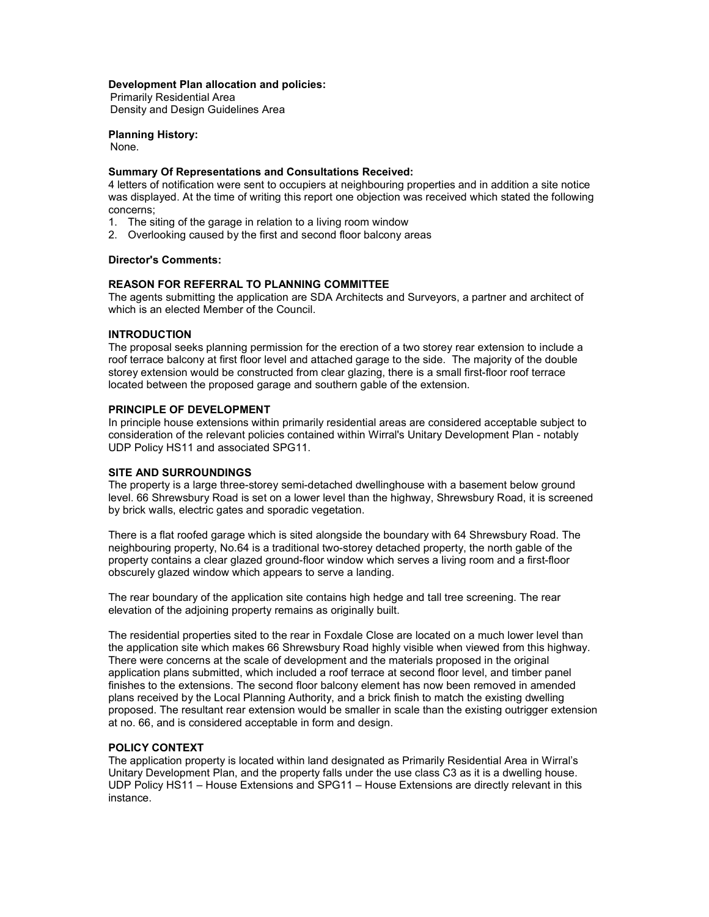### Development Plan allocation and policies:

Primarily Residential Area Density and Design Guidelines Area

Planning History: None.

# Summary Of Representations and Consultations Received:

4 letters of notification were sent to occupiers at neighbouring properties and in addition a site notice was displayed. At the time of writing this report one objection was received which stated the following concerns;

- 1. The siting of the garage in relation to a living room window
- 2. Overlooking caused by the first and second floor balcony areas

## Director's Comments:

# REASON FOR REFERRAL TO PLANNING COMMITTEE

The agents submitting the application are SDA Architects and Surveyors, a partner and architect of which is an elected Member of the Council.

### INTRODUCTION

The proposal seeks planning permission for the erection of a two storey rear extension to include a roof terrace balcony at first floor level and attached garage to the side. The majority of the double storey extension would be constructed from clear glazing, there is a small first-floor roof terrace located between the proposed garage and southern gable of the extension.

### PRINCIPLE OF DEVELOPMENT

In principle house extensions within primarily residential areas are considered acceptable subject to consideration of the relevant policies contained within Wirral's Unitary Development Plan - notably UDP Policy HS11 and associated SPG11.

### SITE AND SURROUNDINGS

The property is a large three-storey semi-detached dwellinghouse with a basement below ground level. 66 Shrewsbury Road is set on a lower level than the highway, Shrewsbury Road, it is screened by brick walls, electric gates and sporadic vegetation.

There is a flat roofed garage which is sited alongside the boundary with 64 Shrewsbury Road. The neighbouring property, No.64 is a traditional two-storey detached property, the north gable of the property contains a clear glazed ground-floor window which serves a living room and a first-floor obscurely glazed window which appears to serve a landing.

The rear boundary of the application site contains high hedge and tall tree screening. The rear elevation of the adjoining property remains as originally built.

The residential properties sited to the rear in Foxdale Close are located on a much lower level than the application site which makes 66 Shrewsbury Road highly visible when viewed from this highway. There were concerns at the scale of development and the materials proposed in the original application plans submitted, which included a roof terrace at second floor level, and timber panel finishes to the extensions. The second floor balcony element has now been removed in amended plans received by the Local Planning Authority, and a brick finish to match the existing dwelling proposed. The resultant rear extension would be smaller in scale than the existing outrigger extension at no. 66, and is considered acceptable in form and design.

# POLICY CONTEXT

The application property is located within land designated as Primarily Residential Area in Wirral's Unitary Development Plan, and the property falls under the use class C3 as it is a dwelling house. UDP Policy HS11 – House Extensions and SPG11 – House Extensions are directly relevant in this instance.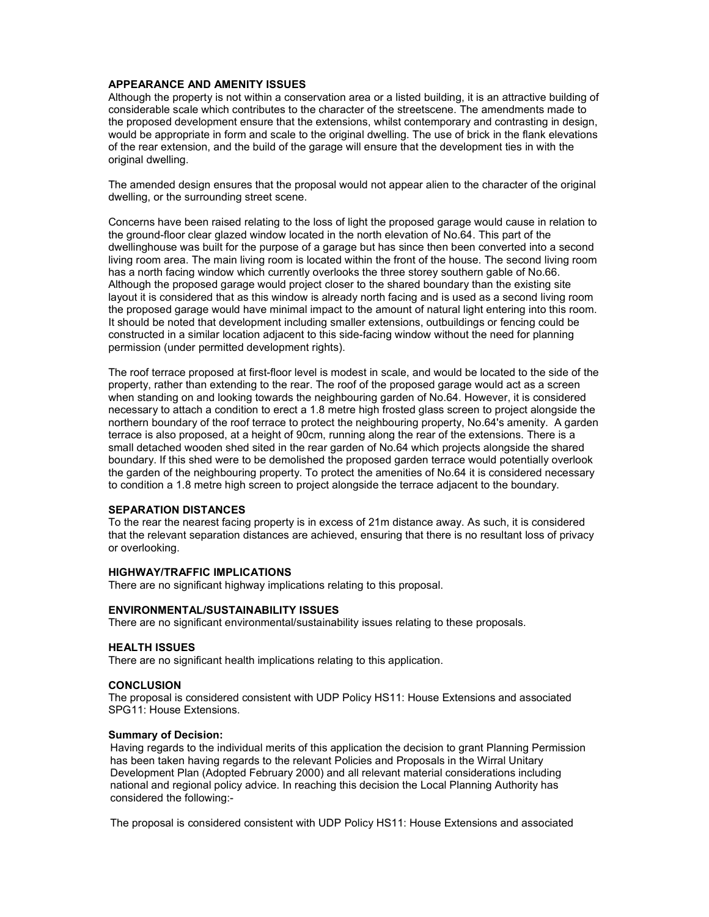# APPEARANCE AND AMENITY ISSUES

Although the property is not within a conservation area or a listed building, it is an attractive building of considerable scale which contributes to the character of the streetscene. The amendments made to the proposed development ensure that the extensions, whilst contemporary and contrasting in design, would be appropriate in form and scale to the original dwelling. The use of brick in the flank elevations of the rear extension, and the build of the garage will ensure that the development ties in with the original dwelling.

The amended design ensures that the proposal would not appear alien to the character of the original dwelling, or the surrounding street scene.

Concerns have been raised relating to the loss of light the proposed garage would cause in relation to the ground-floor clear glazed window located in the north elevation of No.64. This part of the dwellinghouse was built for the purpose of a garage but has since then been converted into a second living room area. The main living room is located within the front of the house. The second living room has a north facing window which currently overlooks the three storey southern gable of No.66. Although the proposed garage would project closer to the shared boundary than the existing site layout it is considered that as this window is already north facing and is used as a second living room the proposed garage would have minimal impact to the amount of natural light entering into this room. It should be noted that development including smaller extensions, outbuildings or fencing could be constructed in a similar location adjacent to this side-facing window without the need for planning permission (under permitted development rights).

The roof terrace proposed at first-floor level is modest in scale, and would be located to the side of the property, rather than extending to the rear. The roof of the proposed garage would act as a screen when standing on and looking towards the neighbouring garden of No.64. However, it is considered necessary to attach a condition to erect a 1.8 metre high frosted glass screen to project alongside the northern boundary of the roof terrace to protect the neighbouring property, No.64's amenity. A garden terrace is also proposed, at a height of 90cm, running along the rear of the extensions. There is a small detached wooden shed sited in the rear garden of No.64 which projects alongside the shared boundary. If this shed were to be demolished the proposed garden terrace would potentially overlook the garden of the neighbouring property. To protect the amenities of No.64 it is considered necessary to condition a 1.8 metre high screen to project alongside the terrace adjacent to the boundary.

# SEPARATION DISTANCES

To the rear the nearest facing property is in excess of 21m distance away. As such, it is considered that the relevant separation distances are achieved, ensuring that there is no resultant loss of privacy or overlooking.

#### HIGHWAY/TRAFFIC IMPLICATIONS

There are no significant highway implications relating to this proposal.

#### ENVIRONMENTAL/SUSTAINABILITY ISSUES

There are no significant environmental/sustainability issues relating to these proposals.

#### HEALTH ISSUES

There are no significant health implications relating to this application.

#### **CONCLUSION**

The proposal is considered consistent with UDP Policy HS11: House Extensions and associated SPG11: House Extensions.

### Summary of Decision:

Having regards to the individual merits of this application the decision to grant Planning Permission has been taken having regards to the relevant Policies and Proposals in the Wirral Unitary Development Plan (Adopted February 2000) and all relevant material considerations including national and regional policy advice. In reaching this decision the Local Planning Authority has considered the following:-

The proposal is considered consistent with UDP Policy HS11: House Extensions and associated